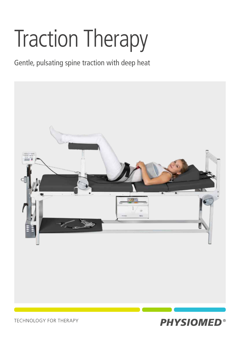# Traction Therapy

Gentle, pulsating spine traction with deep heat





**TECHNOLOGY FOR THERAPY**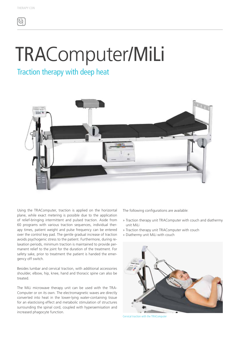## TRAComputer/MiLi

### Traction therapy with deep heat



Using the TRAComputer, traction is applied on the horizontal plane, while exact metering is possible due to the application of relief-bringing intermittent and pulsed traction. Aside from 60 programs with various traction sequences, individual therapy times, patient weight and pulse frequency can be entered over the control key pad. The gentle gradual increase of traction avoids psychogenic stress to the patient. Furthermore, during relaxation periods, minimum traction is maintained to provide permanent relief to the joint for the duration of the treatment. For safety sake, prior to treatment the patient is handed the emergency off switch.

Besides lumbar and cervical traction, with additional accessories shoulder, elbow, hip, knee, hand and thoracic spine can also be treated.

The MiLi microwave therapy unit can be used with the TRA-Computer or on its own. The electromagnetic waves are directly converted into heat in the lower-lying water-containing tissue for an elasticising effect and metabolic stimulation of structures surrounding the spinal cord, coupled with hyperaemisation and increased phagocyte function.

The following configurations are available:

- » Traction therapy unit TRAComputer with couch and diathermy unit MiLi
- » Traction therapy unit TRAComputer with couch
- » Diathermy unit MiLi with couch



Cervical traction with the TRAComputer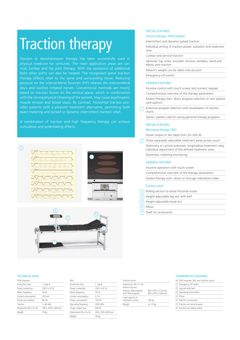### Traction therapy

Traction or decompression therapy has been successfully used in physical medicine for centuries. The main application areas are cervical, lumbar and hip joint therapy. With the assistance of additional belts other joints can also be treated. The recognised spinal traction therapy effects relief to the spine and surrounding tissue. Reducing pressure on the intervertebral foramen (IVF) relieves the intervertebral based on traction forces on the vertical plane, which in combination with the strong physical stressing of the patient, may cause psychogenic muscle tension and blood stasis. By contrast, horizontal traction proexact metering and pulsed or dynamic intermittent traction relief.

A combination of traction and high frequency therapy can achieve cumulative and potentiating effects.





#### SPECIAL FEATURES

#### Traction therapy / TRAComputer

Intermittent and dynamic pulsed traction

Individual setting of traction power, pulsation and treatment time

#### Lumbar and cervical traction

Optional: hip, knee, shoulder, thoracic vertebra, hand and elbow joint traction

Patient's weight can be taken into account

Emergency-off switch

#### GENERAL FEATURES

Intuitive control with touch screen and numeric keypad

Comprehensive overview of the therapy parameters

Fastest therapy start: direct program selection or over patient card (option)

1 Extensive program selection with visualisation of traction charts

Option: patient card for saving personal therapy programs

#### SPECIAL FEATURES

#### Microwave therapy / MiLi

Power output in ten steps from 20–200 W

 $(2)$ Three separately selectable treatment areas across couch Stationary or cyclical automatic longitudinal treatment: easy individual adjustment of the defined treatment zone Automatic metering monitoring

#### GENERAL FEATURES

Intuitive operation with touch screen

| Comprehensive overview of the therapy parameters |  |  |  |
|--------------------------------------------------|--|--|--|
|--------------------------------------------------|--|--|--|

Fastest therapy start: direct or through indications index

#### Traction couch

3 Rolling section to avoid frictional losses

- 4 Height-adjustable leg rest with belt
- 5 Height-adjustable head rest

6 Pillow

7

Shelf for accessories

#### TECHNICAL DATA

#### TRAComputer: Protection class 1, type B Power connection  $230 V \pm 10 \%$ Mains frequency 50 Hz Current consumption 350 mA Power consumption 80 VA Traction 1–60 daN Dimensions (W x H x D) 190 x 1050 x 560 mm Weight 18 kg

| Milit                  |                    |
|------------------------|--------------------|
| Protection class       | 1, Typ B           |
| Power connection       | 230 V ±10 %        |
| Mains frequency        | 50 Hz              |
| Current consumption    | 2.2A               |
| Power consumption      | 720 VA             |
| Operating frequency    | 2450 MHz           |
| Power output max.      | 200 W              |
| Dimensions (W x H x D) | 340 x 250 x 850 mm |
| Weight                 | 28 kg              |
|                        |                    |

| Traction couch:                            |                                            |
|--------------------------------------------|--------------------------------------------|
| Dimensions (W x H x D)<br>without leg rest |                                            |
| without TRAComputer<br>with TRAComputer    | 830 x 970 x 2120 mm<br>830 x 970 x 2240 mm |
| Load capacity of<br>treatment surface      | 160 kg                                     |
| Weight                                     | ca. 75 kg                                  |

#### STANDARD ACCESSORIES

| for TRAComputer, MiLi and traction couch: |
|-------------------------------------------|
| [1] Emergency-off switch                  |
| [1] Leg rest with belt                    |
| [1] Operating instructions                |
| [1] Pillow                                |
| [1] Shelf for accessories                 |
| [1] Traction set cervical spine           |
| [1] Traction set lumbar spine             |
|                                           |